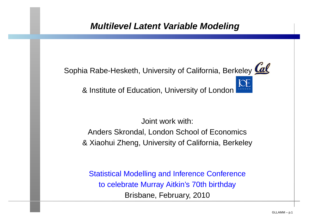# **Multilevel Latent Variable Modeling**



Joint work with:

Anders Skrondal, London School of Economics& Xiaohui Zheng, University of California, Berkeley

Statistical Modelling and Inference Conferenceto celebrate Murray Aitkin's 70th birthdayBrisbane, February, 2010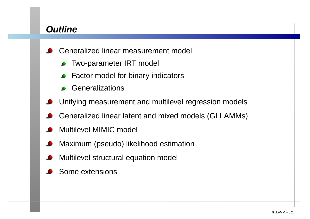# **Outline**

- Generalized linear measurement model
	- Two-parameter IRT model
	- Factor model for binary indicators
	- **Generalizations**
- Unifying measurement and multilevel regression models
- Generalized linear latent and mixed models (GLLAMMs)
- Multilevel MIMIC model
- Maximum (pseudo) likelihood estimation
- Multilevel structural equation model
- Some extensions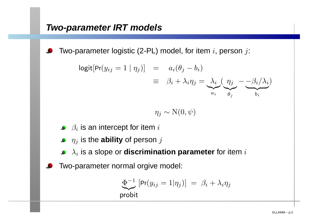Two-parameter logistic (2-PL) model, for item  $i$ , person  $j$ :

$$
logit[Pr(y_{ij} = 1 | \eta_j)] = a_i(\theta_j - b_i)
$$
  

$$
\equiv \beta_i + \lambda_i \eta_j = \underbrace{\lambda_i}_{a_i} \underbrace{(\eta_j - \beta_i/\lambda_i)}_{\theta_j}
$$

$$
\eta_j \sim \mathrm{N}(0,\psi)
$$

- $\beta_i$  is an intercept for item  $i$
- $\eta_j$  is the **ability** of person  $j$
- $\lambda_i$  is a slope or **discrimination parameter** for item  $i$
- Two-parameter normal orgive model:

$$
\underbrace{\Phi^{-1}}_{\text{probit}} [\Pr(y_{ij} = 1 | \eta_j)] = \beta_i + \lambda_i \eta_j
$$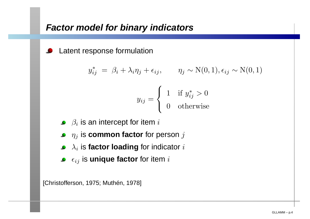Latent response formulation

$$
y_{ij}^* = \beta_i + \lambda_i \eta_j + \epsilon_{ij}, \qquad \eta_j \sim \mathcal{N}(0, 1), \epsilon_{ij} \sim \mathcal{N}(0, 1)
$$

$$
y_{ij} = \begin{cases} 1 & \text{if } y_{ij}^* > 0 \\ 0 & \text{otherwise} \end{cases}
$$

- $\beta_i$  is an intercept for item  $i$
- $\eta_j$  is  $\boldsymbol{\textbf{common}}$  factor for person  $j$
- $\lambda_i$  is **factor loading** for indicator  $i$
- $\epsilon_{ij}$  is **unique factor** for item  $i$

[Christofferson, 1975; Muthén, 1978]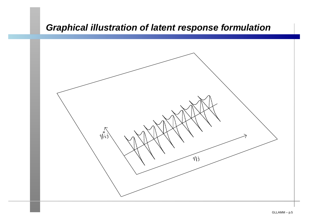# **Graphical illustration of latent response formulation**

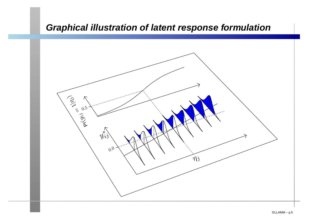### **Graphical illustration of latent response formulation**

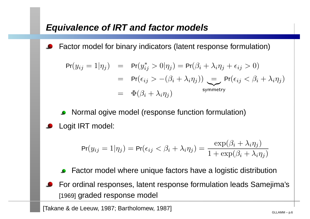# **Equivalence of IRT and factor models**

Factor model for binary indicators (latent response formulation)

$$
Pr(y_{ij} = 1 | \eta_j) = Pr(y_{ij}^* > 0 | \eta_j) = Pr(\beta_i + \lambda_i \eta_j + \epsilon_{ij} > 0)
$$
  
= 
$$
Pr(\epsilon_{ij} > -(\beta_i + \lambda_i \eta_j)) = Pr(\epsilon_{ij} < \beta_i + \lambda_i \eta_j)
$$
  
= 
$$
\Phi(\beta_i + \lambda_i \eta_j)
$$
symmetry

- Normal ogive model (response function formulation)
- Logit IRT model:

$$
\Pr(y_{ij}=1|\eta_j)=\Pr(\epsilon_{ij}<\beta_i+\lambda_i\eta_j)=\frac{\exp(\beta_i+\lambda_i\eta_j)}{1+\exp(\beta_i+\lambda_i\eta_j)}
$$

- Factor model where unique factors have <sup>a</sup> logistic distribution
- For ordinal responses, latent response formulation leads Samejima's[1969] graded response model

[Takane & de Leeuw, 1987; Bartholomew, 1987] [Takane & de Leeuw, 1987]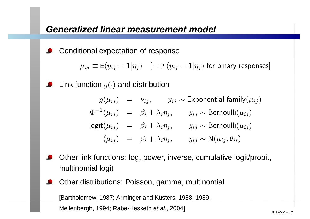Conditional expectation of response

 $\mu_{ij}\equiv{\sf E}(y_{ij}=1|\eta_j) \quad[={\sf Pr}(y_{ij}=1|\eta_j)$  for binary responses]

Link function  $g(\cdot)$  and distribution

$$
g(\mu_{ij}) = \nu_{ij}, \qquad y_{ij} \sim \text{Exponential family}(\mu_{ij})
$$
  
\n
$$
\Phi^{-1}(\mu_{ij}) = \beta_i + \lambda_i \eta_j, \qquad y_{ij} \sim \text{Bernoulli}(\mu_{ij})
$$
  
\n
$$
\text{logit}(\mu_{ij}) = \beta_i + \lambda_i \eta_j, \qquad y_{ij} \sim \text{Bernoulli}(\mu_{ij})
$$
  
\n
$$
(\mu_{ij}) = \beta_i + \lambda_i \eta_j, \qquad y_{ij} \sim \mathsf{N}(\mu_{ij}, \theta_{ii})
$$

- Other link functions: log, power, inverse, cumulative logit/probit, multinomial logit
- Other distributions: Poisson, gamma, multinomial

[Bartholomew, 1987; Arminger and Küsters, 1988, 1989;

Mellenbergh, 1994; Rabe-Hesketh *et al.*, 2004] Mellenbergh, 1994; Rabe-Hesketh *et al.*, 2004]

)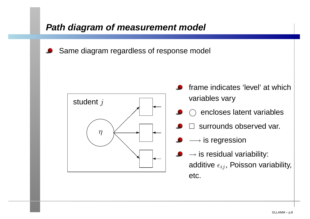# **Path diagram of measurement model**

Same diagram regardless of response model



- frame indicates 'level' at whichvariables vary
	- $\bigcirc$  encloses latent variables
	- surrounds observed var.
	- $\longrightarrow$  is regression
- $\rightarrow$  is residual variability:<br>edditive and Peissen ver additive  $\epsilon_{ij}$ , Poisson variability, etc.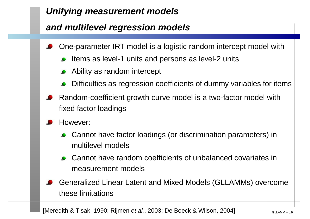# **Unifying measurement models**

# **and multilevel regression models**

- One-parameter IRT model is <sup>a</sup> logistic random intercept model with
	- Items as level-1 units and persons as level-2 units
	- Ability as random intercept
	- Difficulties as regression coefficients of dummy variables for items
- Random-coefficient growth curve model is <sup>a</sup> two-factor model withfixed factor loadings
- However:
	- Cannot have factor loadings (or discrimination parameters) inmultilevel models
	- Cannot have random coefficients of unbalanced covariates inmeasurement models
- Generalized Linear Latent and Mixed Models (GLLAMMs) overcomethese limitations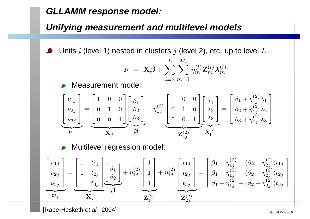# **GLLAMM response model:**

# **Unifying measurement and multilevel models**

Units  $i$  (level 1) nested in clusters  $j$  (level 2), etc. up to level  $L$  $\bullet$ 

$$
\boldsymbol{\nu}~=~\mathbf{X}\boldsymbol{\beta}+\sum_{l=2}^{L}\sum_{m=1}^{M_l}\eta_m^{(l)}\mathbf{Z}_m^{(l)}\boldsymbol{\lambda}_m^{(l)}
$$

Measurement model:

$$
\begin{bmatrix}\nu_{1j} \\
\nu_{2j} \\
\nu_{3j}\n\end{bmatrix} = \underbrace{\begin{bmatrix} 1 & 0 & 0 \\ 0 & 1 & 0 \\ 0 & 0 & 1 \end{bmatrix}}_{\mathbf{X}_j} \underbrace{\begin{bmatrix} \beta_1 \\ \beta_2 \\ \beta_3 \end{bmatrix}}_{\mathbf{B}} + \eta_{1j}^{(2)} \underbrace{\begin{bmatrix} 1 & 0 & 0 \\ 0 & 1 & 0 \\ 0 & 0 & 1 \end{bmatrix}}_{\mathbf{Z}_{1j}^{(2)}} \underbrace{\begin{bmatrix} \lambda_1 \\ \lambda_2 \\ \lambda_3 \end{bmatrix}}_{\mathbf{Z}_{1j}^{(2)}} = \underbrace{\begin{bmatrix} \beta_1 + \eta_{1j}^{(2)} \lambda_1 \\ \beta_2 + \eta_{1j}^{(2)} \lambda_2 \\ \beta_3 + \eta_{1j}^{(2)} \lambda_3 \end{bmatrix}}_{\mathbf{Z}_{1j}^{(2)}}\n\end{bmatrix}
$$

Multilevel regression model:

$$
\begin{bmatrix}\nu_{1j} \\
\nu_{2j} \\
\nu_{3j}\n\end{bmatrix} = \begin{bmatrix}\n1 & t_{1j} \\
1 & t_{2j} \\
1 & t_{3j}\n\end{bmatrix} \begin{bmatrix}\n\beta_1 \\
\beta_2\n\end{bmatrix} + \eta_{1j}^{(2)} \begin{bmatrix}\n1 \\
1 \\
1\n\end{bmatrix} + \eta_{1j}^{(2)} \begin{bmatrix}\nt_{1j} \\
t_{2j} \\
t_{3j}\n\end{bmatrix} = \begin{bmatrix}\n\beta_1 + \eta_{1j}^{(2)} + (\beta_2 + \eta_{2j}^{(2)})t_{1j} \\
\beta_1 + \eta_{1j}^{(2)} + (\beta_2 + \eta_{2j}^{(2)})t_{2j} \\
\beta_1 + \eta_{1j}^{(2)} + (\beta_2 + \eta_{2j}^{(2)})t_{3j}\n\end{bmatrix}
$$

 $[\mathsf{Rabe\text{-}Hes}$ keth *et al.*, 2004] Superintensity of the set of the set of the set of the set of the set of the set of the set of the set of the set of the set of the set of the set of the set of the set of the set of th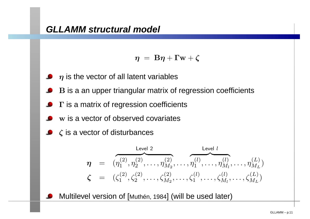$$
\eta = B\eta + \Gamma w + \zeta
$$

- $\boldsymbol{\eta}$  is the vector of all latent variables
- B is <sup>a</sup> an upper triangular matrix of regression coefficients
- $\Gamma$  is a matrix of regression coefficients
- w is a vector of observed covariates
- $\zeta$  is a vector of disturbances

$$
\eta = (\eta_1^{(2)}, \eta_2^{(2)}, \dots, \eta_{M_2}^{(2)}, \dots, \eta_1^{(l)}, \dots, \eta_{M_l}^{(l)}, \dots, \eta_{M_L}^{(L)})
$$
\n
$$
\zeta = (\zeta_1^{(2)}, \zeta_2^{(2)}, \dots, \zeta_{M_2}^{(2)}, \dots, \zeta_1^{(l)}, \dots, \zeta_{M_l}^{(l)}, \dots, \zeta_{M_L}^{(L)})
$$

Multilevel version of [Muthén, <sup>1984</sup>] (will be used later)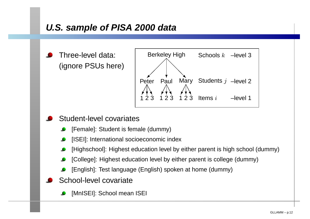# **U.S. sample of PISA 2000 data**

Three-level data: (ignore PSUs here)



#### Student-level covariates

- [Female]: Student is female (dummy)
- [ISEI]: International socioeconomic index
- [Highschool]: Highest education level by either parent is high school (dummy)
- [College]: Highest education level by either parent is college (dummy)
- [English]: Test language (English) spoken at home (dummy)
- School-level covariate
	- [MnISEI]: School mean ISEI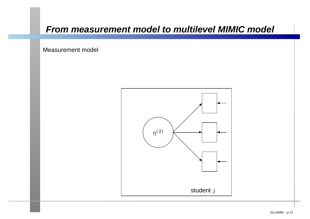### **From measurement model to multilevel MIMIC model**

Measurement model

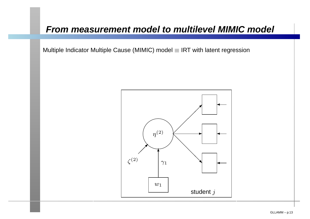### **From measurement model to multilevel MIMIC model**

Multiple Indicator Multiple Cause (MIMIC) model  $\equiv$  IRT with latent regression

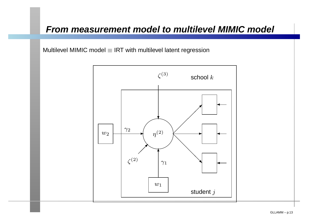### **From measurement model to multilevel MIMIC model**

Multilevel MIMIC model  $\equiv$  IRT with multilevel latent regression

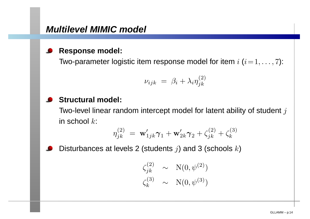#### **Response model:**

Two-parameter logistic item response model for item  $i$   $(i\!=\! 1,\ldots, 7)$ :

$$
\nu_{ijk} = \beta_i + \lambda_i \eta_{jk}^{(2)}
$$

### **Structural model:**

Two-level linear random intercept model for latent ability of student  $j$ in school  $k\mathrm{:}$ 

$$
\eta_{jk}^{(2)} \ = \ \mathbf{w}_{1jk}'\boldsymbol{\gamma}_1 + \mathbf{w}_{2k}'\boldsymbol{\gamma}_2 + \zeta_{jk}^{(2)} + \zeta_k^{(3)}
$$

Disturbances at levels 2 (students  $j$ ) and 3 (schools  $k$ )

$$
\zeta_{jk}^{(2)} \sim \mathcal{N}(0, \psi^{(2)})
$$

$$
\zeta_k^{(3)} \sim \mathcal{N}(0, \psi^{(3)})
$$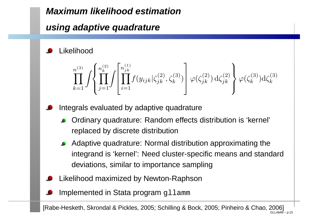# **Maximum likelihood estimation**

# **using adaptive quadrature**

## Likelihood

$$
\prod_{k=1}^{n^{(3)}} \int \left\{ \prod_{j=1}^{n_k^{(2)}} \int \left[ \prod_{i=1}^{n_{jk}^{(1)}} f(y_{ijk} | \zeta_{jk}^{(2)}, \zeta_k^{(3)}) \right] \varphi(\zeta_{jk}^{(2)}) d\zeta_{jk}^{(2)} \right\} \varphi(\zeta_k^{(3)}) d\zeta_k^{(3)}
$$

- Integrals evaluated by adaptive quadrature
	- Ordinary quadrature: Random effects distribution is 'kernel' replaced by discrete distribution
	- Adaptive quadrature: Normal distribution approximating theintegrand is 'kernel': Need cluster-specific means and standarddeviations, similar to importance sampling
- Likelihood maximized by Newton-Raphson
- Implemented in Stata program gllamm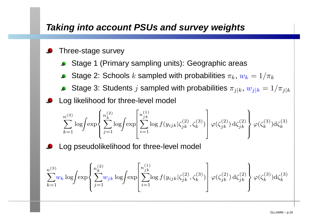# **Taking into account PSUs and survey weights**

#### Three-stage survey

- Stage <sup>1</sup> (Primary sampling units): Geographic areas
- Stage 2: Schools  $k$  sampled with probabilities  $\pi_k$ ,  $w_k$  $_k = 1/\pi$  $\boldsymbol{k}$
- Stage 3: Students  $j$  sampled with probabilities  $\pi_{j|k}$ ,  $w_{j|k} = 1/\pi_{j|k}$ Log likelihood for three-level model

$$
\sum_{k=1}^{n^{(3)}} \log \left\{ \exp \left\{ \sum_{j=1}^{n_k^{(2)}} \log \left\{ \exp \left[ \sum_{i=1}^{n_j^{(1)}} \log f(y_{ijk} | \zeta_{jk}^{(2)}, \zeta_k^{(3)}) \right] \varphi(\zeta_{jk}^{(2)}) d\zeta_{jk}^{(2)} \right\} \varphi(\zeta_k^{(3)}) d\zeta_k^{(3)} \right\}
$$

Log pseudolikelihood for three-level model

$$
\sum_{k=1}^{n^{(3)}} w_k \log \left\{ \exp \left\{ \sum_{j=1}^{n_k^{(2)}} w_{jk} \log \left\{ \exp \left[ \sum_{i=1}^{n_{jk}^{(1)}} \log f(y_{ijk} | \zeta_{jk}^{(2)}, \zeta_k^{(3)}) \right] \varphi(\zeta_{jk}^{(2)}) d\zeta_{jk}^{(2)} \right\} \varphi(\zeta_k^{(3)}) d\zeta_k^{(3)} \right\}
$$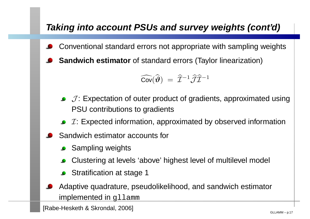# **Taking into account PSUs and survey weights (cont'd)**

- Conventional standard errors not appropriate with sampling weights
- **Sandwich estimator** of standard errors (Taylor linearization)

$$
\widehat{\mathrm{Cov}}(\widehat{\boldsymbol{\vartheta}})\ =\ \widehat{\mathcal{I}}^{-1}\widehat{\mathcal{J}}\widehat{\mathcal{I}}^{-1}
$$

- $\mathcal{J}$ : Expectation of outer product of gradients, approximated using PSU contributions to gradients
- $I:$  Expected information, approximated by observed information
- Sandwich estimator accounts for
	- **Sampling weights**
	- Clustering at levels 'above' highest level of multilevel model
	- Stratification at stage <sup>1</sup>
- Adaptive quadrature, pseudolikelihood, and sandwich estimatorimplemented in gllamm

[Rabe-Hesketh & Skrondal, 2006] [Cabe-Hesketh & Skrondal, 2006]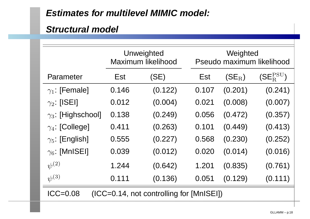# **Estimates for multilevel MIMIC model:**

### **Structural model**

|                                                        | Unweighted<br>Maximum likelihood |         | Weighted<br>Pseudo maximum likelihood |          |                    |  |  |  |
|--------------------------------------------------------|----------------------------------|---------|---------------------------------------|----------|--------------------|--|--|--|
| Parameter                                              | Est                              | (SE)    | Est                                   | $(SE_R)$ | $(SE_R^{\rm PSU})$ |  |  |  |
| $\gamma_1$ : [Female]                                  | 0.146                            | (0.122) | 0.107                                 | (0.201)  | (0.241)            |  |  |  |
| $\gamma_2$ : [ISEI]                                    | 0.012                            | (0.004) | 0.021                                 | (0.008)  | (0.007)            |  |  |  |
| $\gamma_3$ : [Highschool]                              | 0.138                            | (0.249) | 0.056                                 | (0.472)  | (0.357)            |  |  |  |
| $\gamma_4$ : [College]                                 | 0.411                            | (0.263) | 0.101                                 | (0.449)  | (0.413)            |  |  |  |
| $\gamma_5$ : [English]                                 | 0.555                            | (0.227) | 0.568                                 | (0.230)  | (0.252)            |  |  |  |
| $\gamma_6$ : [MnISEI]                                  | 0.039                            | (0.012) | 0.020                                 | (0.014)  | (0.016)            |  |  |  |
| $\psi^{(2)}$                                           | 1.244                            | (0.642) | 1.201                                 | (0.835)  | (0.761)            |  |  |  |
| $\psi^{(3)}$                                           | 0.111                            | (0.136) | 0.051                                 | (0.129)  | (0.111)            |  |  |  |
| (ICC=0.14, not controlling for [MnISEI])<br>$ICC=0.08$ |                                  |         |                                       |          |                    |  |  |  |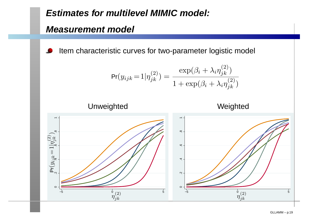# **Estimates for multilevel MIMIC model:**

### **Measurement model**

Item characteristic curves for two-parameter logistic model

$$
\Pr(y_{ijk} = 1 | \eta_{jk}^{(2)}) = \frac{\exp(\beta_i + \lambda_i \eta_{jk}^{(2)})}{1 + \exp(\beta_i + \lambda_i \eta_{jk}^{(2)})}
$$





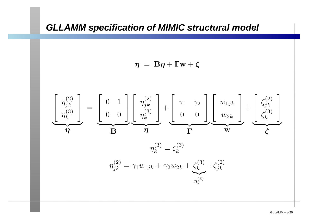## **GLLAMM specification of MIMIC structural model**

$$
\eta = B\eta + \Gamma w + \zeta
$$

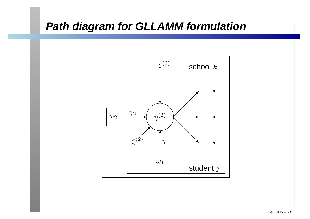# **Path diagram for GLLAMM formulation**

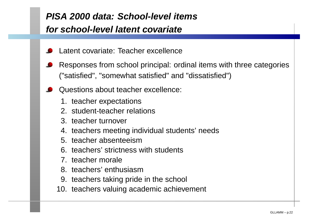# **PISA 2000 data: School-level itemsfor school-level latent covariate**

- Latent covariate: Teacher excellence
- Responses from school principal: ordinal items with three categories("satisfied", "somewhat satisfied" and "dissatisfied")
- Questions about teacher excellence:
	- 1. teacher expectations
	- 2. student-teacher relations
	- 3. teacher turnover
	- 4. teachers meeting individual students' needs
	- 5. teacher absenteeism
	- 6. teachers' strictness with students
	- 7. teacher morale
	- 8. teachers' enthusiasm
	- 9. teachers taking pride in the school
	- 10. teachers valuing academic achievement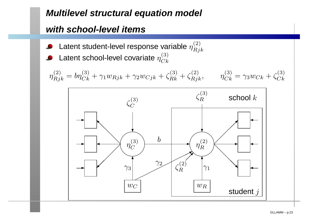# **Multilevel structural equation model**

### **with school-level items**

Latent student-level response variable  $\eta^{(2)}_{Rjk}$ Latent school-level covariate  $\eta^{(3)}_{Ck}$ 

$$
\eta_{Rjk}^{(2)} = b\eta_{Ck}^{(3)} + \gamma_1 w_{Rjk} + \gamma_2 w_{Cjk} + \zeta_{Rk}^{(3)} + \zeta_{Rjk}^{(2)}, \qquad \eta_{Ck}^{(3)} = \gamma_3 w_{Ck} + \zeta_{Ck}^{(3)}
$$

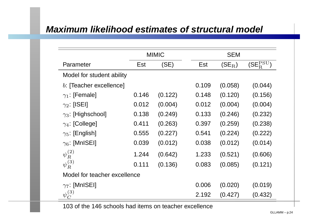# **Maximum likelihood estimates of structural model**

|                              | <b>MIMIC</b> |         |       | <b>SEM</b> |                                         |  |  |  |
|------------------------------|--------------|---------|-------|------------|-----------------------------------------|--|--|--|
| Parameter                    | Est          | (SE)    | Est   | $(SE_R)$   | $(\mathsf{SE}^\mathrm{PSU}_\mathrm{R})$ |  |  |  |
| Model for student ability    |              |         |       |            |                                         |  |  |  |
| b: [Teacher excellence]      |              |         | 0.109 | (0.058)    | (0.044)                                 |  |  |  |
| $\gamma_1$ : [Female]        | 0.146        | (0.122) | 0.148 | (0.120)    | (0.156)                                 |  |  |  |
| $\gamma_2$ : [ISEI]          | 0.012        | (0.004) | 0.012 | (0.004)    | (0.004)                                 |  |  |  |
| $\gamma_3$ : [Highschool]    | 0.138        | (0.249) | 0.133 | (0.246)    | (0.232)                                 |  |  |  |
| $\gamma_4$ : [College]       | 0.411        | (0.263) | 0.397 | (0.259)    | (0.238)                                 |  |  |  |
| $\gamma_5$ : [English]       | 0.555        | (0.227) | 0.541 | (0.224)    | (0.222)                                 |  |  |  |
| $\gamma_6$ : [MnISEI]        | 0.039        | (0.012) | 0.038 | (0.012)    | (0.014)                                 |  |  |  |
| $\psi^{(2)}_R$               | 1.244        | (0.642) | 1.233 | (0.521)    | (0.606)                                 |  |  |  |
| $\psi_R^{(3)}$               | 0.111        | (0.136) | 0.083 | (0.085)    | (0.121)                                 |  |  |  |
| Model for teacher excellence |              |         |       |            |                                         |  |  |  |
| $\gamma$ . [MnISEI]          |              |         | 0.006 | (0.020)    | (0.019)                                 |  |  |  |
| $\psi^{(3)}_C$               |              |         | 2.192 | (0.427)    | (0.432)                                 |  |  |  |

103 of the 146 schools had items on teacher excellence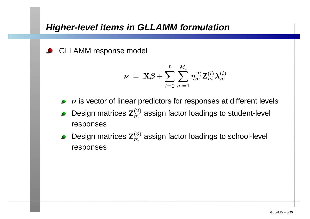# **Higher-level items in GLLAMM formulation**

GLLAMM response model

$$
\boldsymbol{\nu}~=~\mathbf{X}\boldsymbol{\beta}+\sum_{l=2}^{L}\sum_{m=1}^{M_l}\eta^{(l)}_m\mathbf{Z}_m^{(l)}\boldsymbol{\lambda}_m^{(l)}
$$

- $\nu$  is vector of linear predictors for responses at different levels
- Design matrices  $\mathbf{Z}_m^{(2)}$  $\binom{2}{m}$  assign factor loadings to student-level responses
- Design matrices  $\mathbf{Z}_m^{(3)}$  $\binom{3}{m}$  assign factor loadings to school-level responses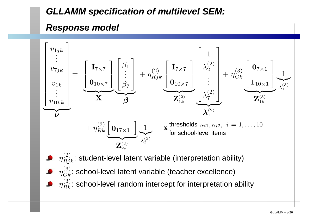# **GLLAMM specification of multilevel SEM:**

### **Response model**

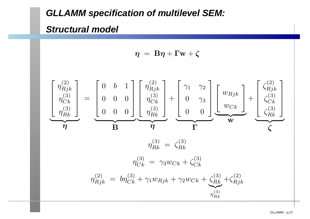## **GLLAMM specification of multilevel SEM:**

### **Structural model**

 $\boldsymbol{\eta}~=~\mathbf{B}\boldsymbol{\eta}+\mathbf{\Gamma}\mathbf{w}+\boldsymbol{\zeta}$ 

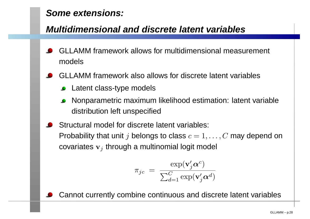# **Some extensions:**

# **Multidimensional and discrete latent variables**

- GLLAMM framework allows for multidimensional measurement models
- GLLAMM framework also allows for discrete latent variables
	- **Latent class-type models**
	- Nonparametric maximum likelihood estimation: latent variabledistribution left unspecified
- Structural model for discrete latent variables: Probability that unit  $j$  belongs to class  $c=1,\ldots,C$  may depend on covariates  $\mathbf{v}_j$  through a multinomial logit model

$$
\pi_{jc} = \frac{\exp(\mathbf{v}'_j \boldsymbol{\alpha}^c)}{\sum_{d=1}^{C} \exp(\mathbf{v}'_j \boldsymbol{\alpha}^d)}
$$

Cannot currently combine continuous and discrete latent variables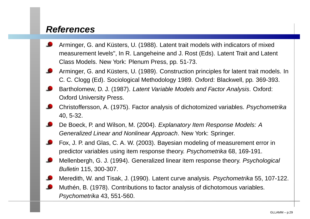### **References**

- Arminger, G. and Küsters, U. (1988). Latent trait models with indicators of mixedmeasurement levels", In R. Langeheine and J. Rost (Eds). Latent Trait and Latent Class Models. New York: Plenum Press, pp. 51-73.
- Arminger, G. and Küsters, U. (1989). Construction principles for latent trait models. InC. C. Clogg (Ed). Sociological Methodology 1989. Oxford: Blackwell, pp. 369-393.
- Bartholomew, D. J. (1987). Latent Variable Models and Factor Analysis. Oxford: Oxford University Press.
- Christoffersson, A. (1975). Factor analysis of dichotomized variables. Psychometrika40, 5-32.
- De Boeck, P. and Wilson, M. (2004). Explanatory Item Response Models: AGeneralized Linear and Nonlinear Approach. New York: Springer.
- Fox, J. P. and Glas, C. A. W. (2003). Bayesian modeling of measurement error inpredictor variables using item response theory. *Psychometrika* 68, 169-191.
- Mellenbergh, G. J. (1994). Generalized linear item response theory. *Psychological* Bulletin 115, 300-307.
- Meredith, W. and Tisak, J. (1990). Latent curve analysis. *Psychometrika* 55, 107-122.
	- Muthén, B. (1978). Contributions to factor analysis of dichotomous variables. Psychometrika 43, 551-560.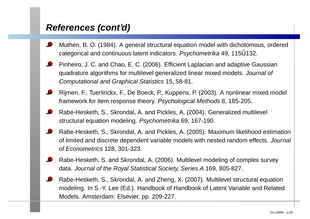# **References (cont'd)**

- Muthén, B. O. (1984). A general structural equation model with dichotomous, ordered categorical and continuous latent indicators. *Psychometrika* 49, 115Ű132.
- Pinheiro, J. C. and Chao, E. C. (2006). Efficient Laplacian and adaptive Gaussianquadrature algorithms for multilevel generalized linear mixed models. Journal of Computational and Graphical Statistics 15, 58-81.
- Rijmen, F., Tuerlinckx, F., De Boeck, P., Kuppens, P. (2003). A nonlinear mixed model framework for item response theory. Psychological Methods 8, 185-205.
- Rabe-Hesketh, S., Skrondal, A. and Pickles, A. (2004). Generalized multilevel structural equation modeling. *Psychometrika* 69, 167-190.
- Rabe-Hesketh, S., Skrondal, A. and Pickles, A. (2005). Maximum likelihood estimationof limited and discrete dependent variable models with nested random effects. Journal of Econometrics 128, 301-323.
- Rabe-Hesketh, S. and Skrondal, A. (2006). Multilevel modeling of complex surveydata. Journal of the Royal Statistical Society, Series A 169, 805-827.
- Rabe-Hesketh, S., Skrondal, A. and Zheng, X. (2007). Multilevel structural equationmodeling. In S.-Y. Lee (Ed.). Handbook of Handbook of Latent Variable and RelatedModels. Amsterdam: Elsevier, pp. 209-227.